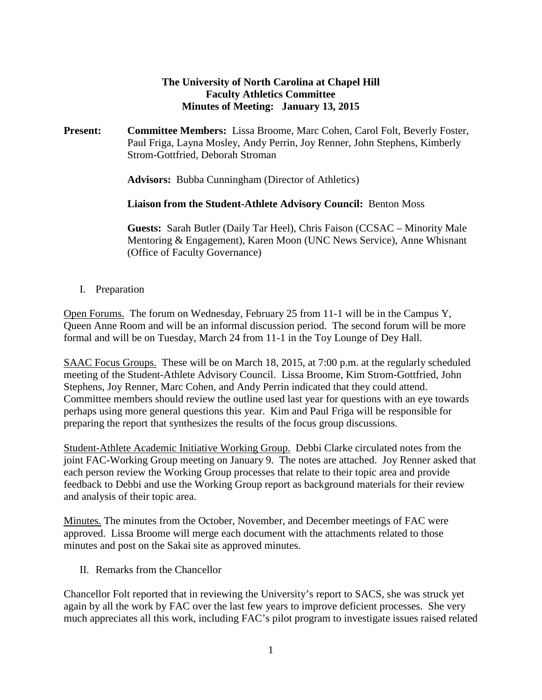## **The University of North Carolina at Chapel Hill Faculty Athletics Committee Minutes of Meeting: January 13, 2015**

**Present: Committee Members:** Lissa Broome, Marc Cohen, Carol Folt, Beverly Foster, Paul Friga, Layna Mosley, Andy Perrin, Joy Renner, John Stephens, Kimberly Strom-Gottfried, Deborah Stroman

**Advisors:** Bubba Cunningham (Director of Athletics)

**Liaison from the Student-Athlete Advisory Council:** Benton Moss

**Guests:** Sarah Butler (Daily Tar Heel), Chris Faison (CCSAC – Minority Male Mentoring & Engagement), Karen Moon (UNC News Service), Anne Whisnant (Office of Faculty Governance)

I. Preparation

Open Forums. The forum on Wednesday, February 25 from 11-1 will be in the Campus Y, Queen Anne Room and will be an informal discussion period. The second forum will be more formal and will be on Tuesday, March 24 from 11-1 in the Toy Lounge of Dey Hall.

SAAC Focus Groups. These will be on March 18, 2015, at 7:00 p.m. at the regularly scheduled meeting of the Student-Athlete Advisory Council. Lissa Broome, Kim Strom-Gottfried, John Stephens, Joy Renner, Marc Cohen, and Andy Perrin indicated that they could attend. Committee members should review the outline used last year for questions with an eye towards perhaps using more general questions this year. Kim and Paul Friga will be responsible for preparing the report that synthesizes the results of the focus group discussions.

Student-Athlete Academic Initiative Working Group. Debbi Clarke circulated notes from the joint FAC-Working Group meeting on January 9. The notes are attached. Joy Renner asked that each person review the Working Group processes that relate to their topic area and provide feedback to Debbi and use the Working Group report as background materials for their review and analysis of their topic area.

Minutes. The minutes from the October, November, and December meetings of FAC were approved. Lissa Broome will merge each document with the attachments related to those minutes and post on the Sakai site as approved minutes.

II. Remarks from the Chancellor

Chancellor Folt reported that in reviewing the University's report to SACS, she was struck yet again by all the work by FAC over the last few years to improve deficient processes. She very much appreciates all this work, including FAC's pilot program to investigate issues raised related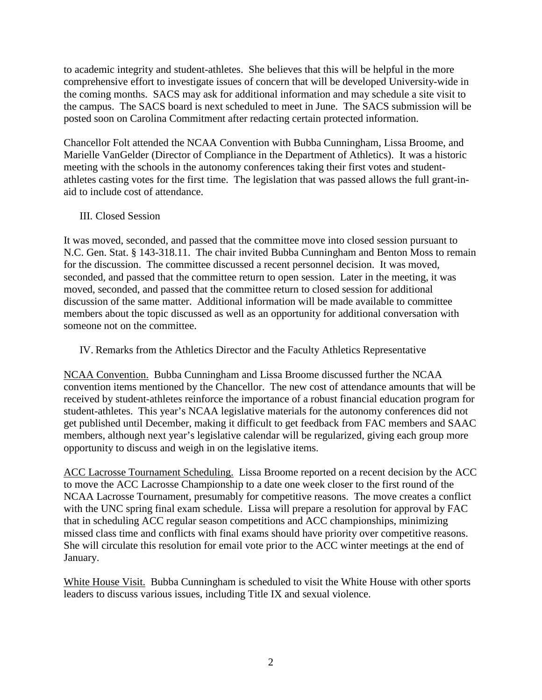to academic integrity and student-athletes. She believes that this will be helpful in the more comprehensive effort to investigate issues of concern that will be developed University-wide in the coming months. SACS may ask for additional information and may schedule a site visit to the campus. The SACS board is next scheduled to meet in June. The SACS submission will be posted soon on Carolina Commitment after redacting certain protected information.

Chancellor Folt attended the NCAA Convention with Bubba Cunningham, Lissa Broome, and Marielle VanGelder (Director of Compliance in the Department of Athletics). It was a historic meeting with the schools in the autonomy conferences taking their first votes and studentathletes casting votes for the first time. The legislation that was passed allows the full grant-inaid to include cost of attendance.

### III. Closed Session

It was moved, seconded, and passed that the committee move into closed session pursuant to N.C. Gen. Stat. § 143-318.11. The chair invited Bubba Cunningham and Benton Moss to remain for the discussion. The committee discussed a recent personnel decision. It was moved, seconded, and passed that the committee return to open session. Later in the meeting, it was moved, seconded, and passed that the committee return to closed session for additional discussion of the same matter. Additional information will be made available to committee members about the topic discussed as well as an opportunity for additional conversation with someone not on the committee.

IV. Remarks from the Athletics Director and the Faculty Athletics Representative

NCAA Convention. Bubba Cunningham and Lissa Broome discussed further the NCAA convention items mentioned by the Chancellor. The new cost of attendance amounts that will be received by student-athletes reinforce the importance of a robust financial education program for student-athletes. This year's NCAA legislative materials for the autonomy conferences did not get published until December, making it difficult to get feedback from FAC members and SAAC members, although next year's legislative calendar will be regularized, giving each group more opportunity to discuss and weigh in on the legislative items.

ACC Lacrosse Tournament Scheduling. Lissa Broome reported on a recent decision by the ACC to move the ACC Lacrosse Championship to a date one week closer to the first round of the NCAA Lacrosse Tournament, presumably for competitive reasons. The move creates a conflict with the UNC spring final exam schedule. Lissa will prepare a resolution for approval by FAC that in scheduling ACC regular season competitions and ACC championships, minimizing missed class time and conflicts with final exams should have priority over competitive reasons. She will circulate this resolution for email vote prior to the ACC winter meetings at the end of January.

White House Visit. Bubba Cunningham is scheduled to visit the White House with other sports leaders to discuss various issues, including Title IX and sexual violence.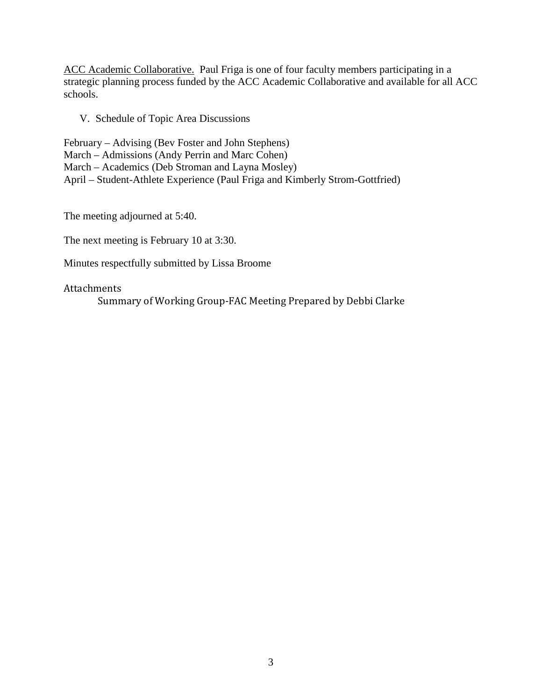ACC Academic Collaborative. Paul Friga is one of four faculty members participating in a strategic planning process funded by the ACC Academic Collaborative and available for all ACC schools.

V. Schedule of Topic Area Discussions

February – Advising (Bev Foster and John Stephens) March – Admissions (Andy Perrin and Marc Cohen) March – Academics (Deb Stroman and Layna Mosley) April – Student-Athlete Experience (Paul Friga and Kimberly Strom-Gottfried)

The meeting adjourned at 5:40.

The next meeting is February 10 at 3:30.

Minutes respectfully submitted by Lissa Broome

#### Attachments

Summary of Working Group-FAC Meeting Prepared by Debbi Clarke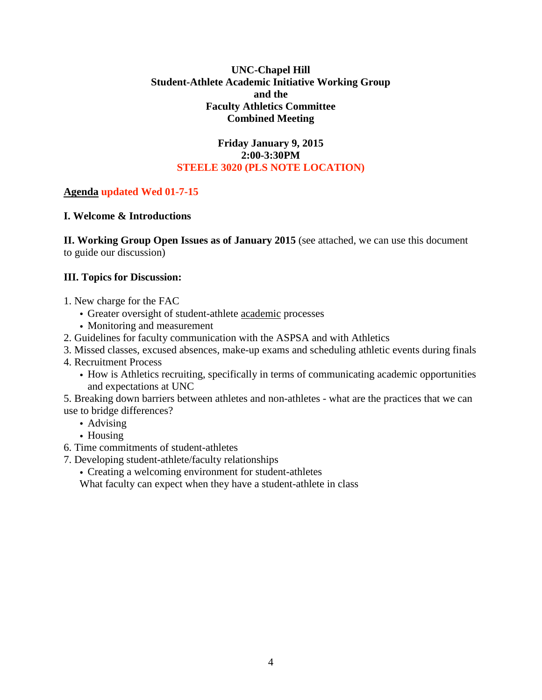### **UNC-Chapel Hill Student-Athlete Academic Initiative Working Group and the Faculty Athletics Committee Combined Meeting**

### **Friday January 9, 2015 2:00-3:30PM STEELE 3020 (PLS NOTE LOCATION)**

# **Agenda updated Wed 01-7-15**

## **I. Welcome & Introductions**

**II. Working Group Open Issues as of January 2015** (see attached, we can use this document to guide our discussion)

## **III. Topics for Discussion:**

- 1. New charge for the FAC
	- Greater oversight of student-athlete academic processes
	- Monitoring and measurement
- 2. Guidelines for faculty communication with the ASPSA and with Athletics
- 3. Missed classes, excused absences, make-up exams and scheduling athletic events during finals
- 4. Recruitment Process
	- How is Athletics recruiting, specifically in terms of communicating academic opportunities and expectations at UNC
- 5. Breaking down barriers between athletes and non-athletes what are the practices that we can use to bridge differences?
	- Advising
	- Housing
- 6. Time commitments of student-athletes
- 7. Developing student-athlete/faculty relationships
	- Creating a welcoming environment for student-athletes

What faculty can expect when they have a student-athlete in class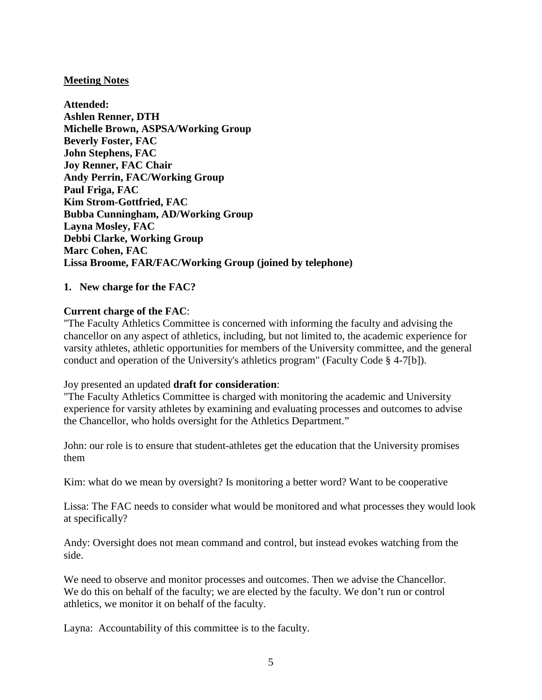### **Meeting Notes**

**Attended: Ashlen Renner, DTH Michelle Brown, ASPSA/Working Group Beverly Foster, FAC John Stephens, FAC Joy Renner, FAC Chair Andy Perrin, FAC/Working Group Paul Friga, FAC Kim Strom-Gottfried, FAC Bubba Cunningham, AD/Working Group Layna Mosley, FAC Debbi Clarke, Working Group Marc Cohen, FAC Lissa Broome, FAR/FAC/Working Group (joined by telephone)**

#### **1. New charge for the FAC?**

### **Current charge of the FAC**:

"The Faculty Athletics Committee is concerned with informing the faculty and advising the chancellor on any aspect of athletics, including, but not limited to, the academic experience for varsity athletes, athletic opportunities for members of the University committee, and the general conduct and operation of the University's athletics program" (Faculty Code § 4-7[b]).

#### Joy presented an updated **draft for consideration**:

"The Faculty Athletics Committee is charged with monitoring the academic and University experience for varsity athletes by examining and evaluating processes and outcomes to advise the Chancellor, who holds oversight for the Athletics Department."

John: our role is to ensure that student-athletes get the education that the University promises them

Kim: what do we mean by oversight? Is monitoring a better word? Want to be cooperative

Lissa: The FAC needs to consider what would be monitored and what processes they would look at specifically?

Andy: Oversight does not mean command and control, but instead evokes watching from the side.

We need to observe and monitor processes and outcomes. Then we advise the Chancellor. We do this on behalf of the faculty; we are elected by the faculty. We don't run or control athletics, we monitor it on behalf of the faculty.

Layna: Accountability of this committee is to the faculty.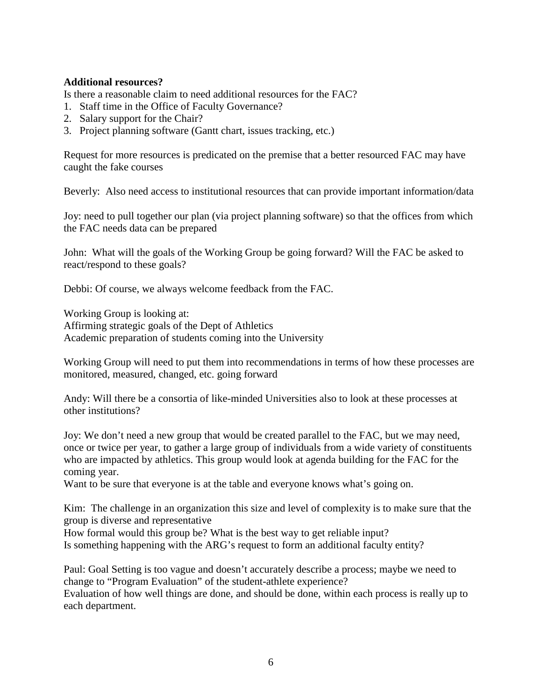### **Additional resources?**

Is there a reasonable claim to need additional resources for the FAC?

- 1. Staff time in the Office of Faculty Governance?
- 2. Salary support for the Chair?
- 3. Project planning software (Gantt chart, issues tracking, etc.)

Request for more resources is predicated on the premise that a better resourced FAC may have caught the fake courses

Beverly: Also need access to institutional resources that can provide important information/data

Joy: need to pull together our plan (via project planning software) so that the offices from which the FAC needs data can be prepared

John: What will the goals of the Working Group be going forward? Will the FAC be asked to react/respond to these goals?

Debbi: Of course, we always welcome feedback from the FAC.

Working Group is looking at:

Affirming strategic goals of the Dept of Athletics Academic preparation of students coming into the University

Working Group will need to put them into recommendations in terms of how these processes are monitored, measured, changed, etc. going forward

Andy: Will there be a consortia of like-minded Universities also to look at these processes at other institutions?

Joy: We don't need a new group that would be created parallel to the FAC, but we may need, once or twice per year, to gather a large group of individuals from a wide variety of constituents who are impacted by athletics. This group would look at agenda building for the FAC for the coming year.

Want to be sure that everyone is at the table and everyone knows what's going on.

Kim: The challenge in an organization this size and level of complexity is to make sure that the group is diverse and representative

How formal would this group be? What is the best way to get reliable input? Is something happening with the ARG's request to form an additional faculty entity?

Paul: Goal Setting is too vague and doesn't accurately describe a process; maybe we need to change to "Program Evaluation" of the student-athlete experience? Evaluation of how well things are done, and should be done, within each process is really up to each department.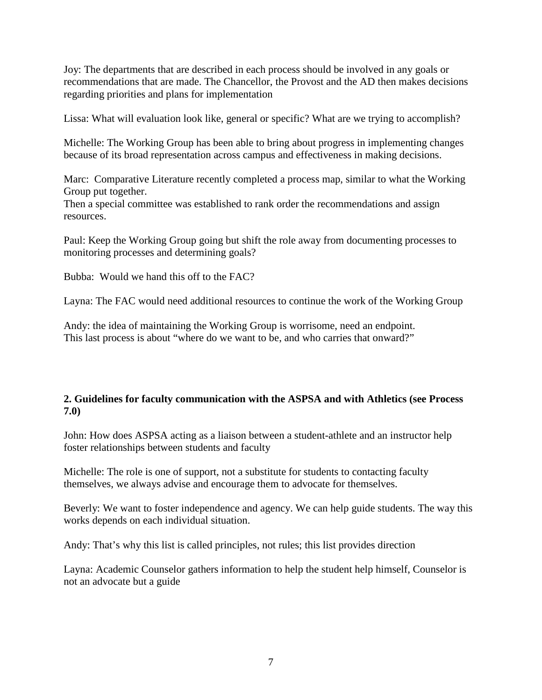Joy: The departments that are described in each process should be involved in any goals or recommendations that are made. The Chancellor, the Provost and the AD then makes decisions regarding priorities and plans for implementation

Lissa: What will evaluation look like, general or specific? What are we trying to accomplish?

Michelle: The Working Group has been able to bring about progress in implementing changes because of its broad representation across campus and effectiveness in making decisions.

Marc: Comparative Literature recently completed a process map, similar to what the Working Group put together.

Then a special committee was established to rank order the recommendations and assign resources.

Paul: Keep the Working Group going but shift the role away from documenting processes to monitoring processes and determining goals?

Bubba: Would we hand this off to the FAC?

Layna: The FAC would need additional resources to continue the work of the Working Group

Andy: the idea of maintaining the Working Group is worrisome, need an endpoint. This last process is about "where do we want to be, and who carries that onward?"

## **2. Guidelines for faculty communication with the ASPSA and with Athletics (see Process 7.0)**

John: How does ASPSA acting as a liaison between a student-athlete and an instructor help foster relationships between students and faculty

Michelle: The role is one of support, not a substitute for students to contacting faculty themselves, we always advise and encourage them to advocate for themselves.

Beverly: We want to foster independence and agency. We can help guide students. The way this works depends on each individual situation.

Andy: That's why this list is called principles, not rules; this list provides direction

Layna: Academic Counselor gathers information to help the student help himself, Counselor is not an advocate but a guide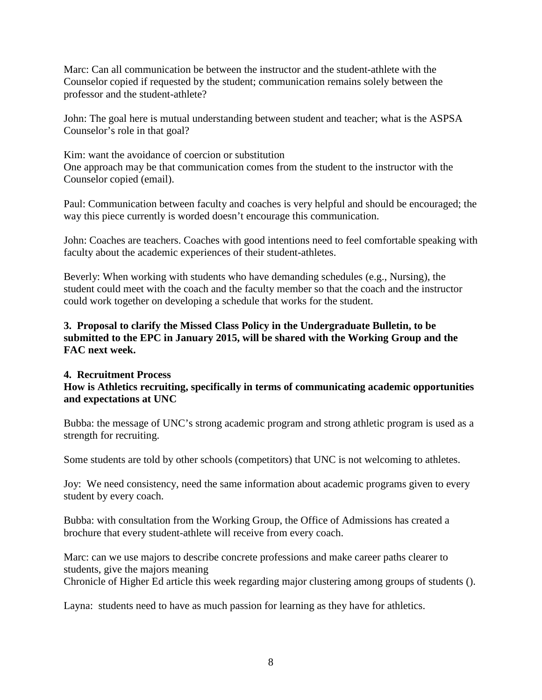Marc: Can all communication be between the instructor and the student-athlete with the Counselor copied if requested by the student; communication remains solely between the professor and the student-athlete?

John: The goal here is mutual understanding between student and teacher; what is the ASPSA Counselor's role in that goal?

Kim: want the avoidance of coercion or substitution One approach may be that communication comes from the student to the instructor with the Counselor copied (email).

Paul: Communication between faculty and coaches is very helpful and should be encouraged; the way this piece currently is worded doesn't encourage this communication.

John: Coaches are teachers. Coaches with good intentions need to feel comfortable speaking with faculty about the academic experiences of their student-athletes.

Beverly: When working with students who have demanding schedules (e.g., Nursing), the student could meet with the coach and the faculty member so that the coach and the instructor could work together on developing a schedule that works for the student.

## **3. Proposal to clarify the Missed Class Policy in the Undergraduate Bulletin, to be submitted to the EPC in January 2015, will be shared with the Working Group and the FAC next week.**

### **4. Recruitment Process How is Athletics recruiting, specifically in terms of communicating academic opportunities and expectations at UNC**

Bubba: the message of UNC's strong academic program and strong athletic program is used as a strength for recruiting.

Some students are told by other schools (competitors) that UNC is not welcoming to athletes.

Joy: We need consistency, need the same information about academic programs given to every student by every coach.

Bubba: with consultation from the Working Group, the Office of Admissions has created a brochure that every student-athlete will receive from every coach.

Marc: can we use majors to describe concrete professions and make career paths clearer to students, give the majors meaning

Chronicle of Higher Ed article this week regarding major clustering among groups of students ().

Layna: students need to have as much passion for learning as they have for athletics.